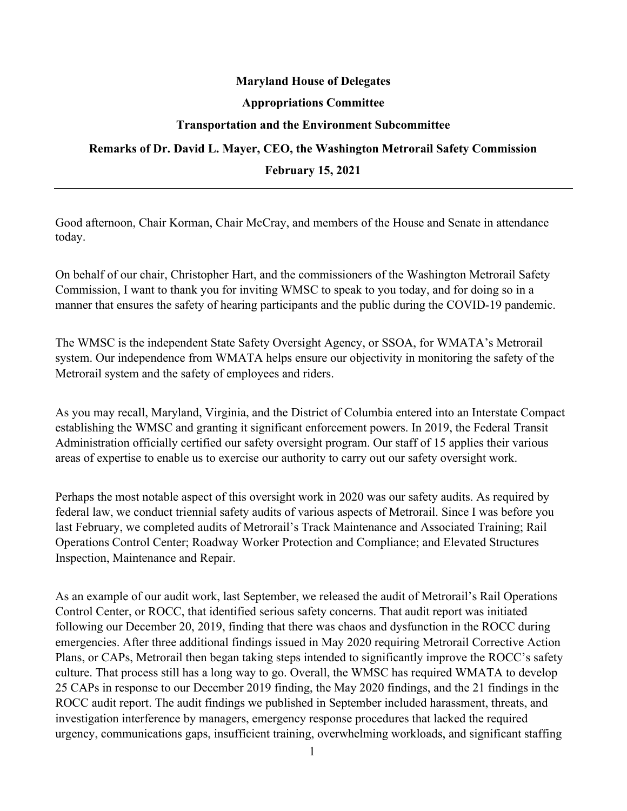## **Maryland House of Delegates**

## **Appropriations Committee**

## **Transportation and the Environment Subcommittee**

## **Remarks of Dr. David L. Mayer, CEO, the Washington Metrorail Safety Commission February 15, 2021**

Good afternoon, Chair Korman, Chair McCray, and members of the House and Senate in attendance today.

On behalf of our chair, Christopher Hart, and the commissioners of the Washington Metrorail Safety Commission, I want to thank you for inviting WMSC to speak to you today, and for doing so in a manner that ensures the safety of hearing participants and the public during the COVID-19 pandemic.

The WMSC is the independent State Safety Oversight Agency, or SSOA, for WMATA's Metrorail system. Our independence from WMATA helps ensure our objectivity in monitoring the safety of the Metrorail system and the safety of employees and riders.

As you may recall, Maryland, Virginia, and the District of Columbia entered into an Interstate Compact establishing the WMSC and granting it significant enforcement powers. In 2019, the Federal Transit Administration officially certified our safety oversight program. Our staff of 15 applies their various areas of expertise to enable us to exercise our authority to carry out our safety oversight work.

Perhaps the most notable aspect of this oversight work in 2020 was our safety audits. As required by federal law, we conduct triennial safety audits of various aspects of Metrorail. Since I was before you last February, we completed audits of Metrorail's Track Maintenance and Associated Training; Rail Operations Control Center; Roadway Worker Protection and Compliance; and Elevated Structures Inspection, Maintenance and Repair.

As an example of our audit work, last September, we released the audit of Metrorail's Rail Operations Control Center, or ROCC, that identified serious safety concerns. That audit report was initiated following our December 20, 2019, finding that there was chaos and dysfunction in the ROCC during emergencies. After three additional findings issued in May 2020 requiring Metrorail Corrective Action Plans, or CAPs, Metrorail then began taking steps intended to significantly improve the ROCC's safety culture. That process still has a long way to go. Overall, the WMSC has required WMATA to develop 25 CAPs in response to our December 2019 finding, the May 2020 findings, and the 21 findings in the ROCC audit report. The audit findings we published in September included harassment, threats, and investigation interference by managers, emergency response procedures that lacked the required urgency, communications gaps, insufficient training, overwhelming workloads, and significant staffing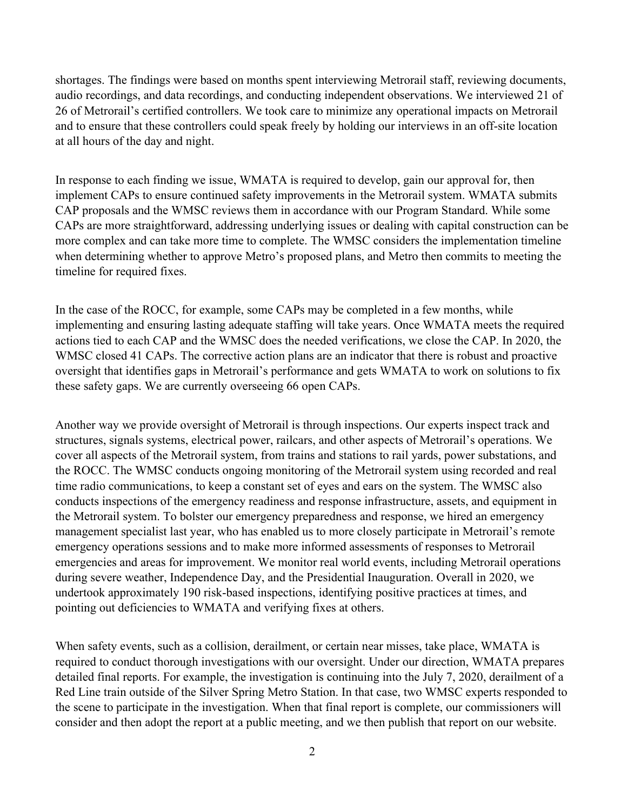shortages. The findings were based on months spent interviewing Metrorail staff, reviewing documents, audio recordings, and data recordings, and conducting independent observations. We interviewed 21 of 26 of Metrorail's certified controllers. We took care to minimize any operational impacts on Metrorail and to ensure that these controllers could speak freely by holding our interviews in an off-site location at all hours of the day and night.

In response to each finding we issue, WMATA is required to develop, gain our approval for, then implement CAPs to ensure continued safety improvements in the Metrorail system. WMATA submits CAP proposals and the WMSC reviews them in accordance with our Program Standard. While some CAPs are more straightforward, addressing underlying issues or dealing with capital construction can be more complex and can take more time to complete. The WMSC considers the implementation timeline when determining whether to approve Metro's proposed plans, and Metro then commits to meeting the timeline for required fixes.

In the case of the ROCC, for example, some CAPs may be completed in a few months, while implementing and ensuring lasting adequate staffing will take years. Once WMATA meets the required actions tied to each CAP and the WMSC does the needed verifications, we close the CAP. In 2020, the WMSC closed 41 CAPs. The corrective action plans are an indicator that there is robust and proactive oversight that identifies gaps in Metrorail's performance and gets WMATA to work on solutions to fix these safety gaps. We are currently overseeing 66 open CAPs.

Another way we provide oversight of Metrorail is through inspections. Our experts inspect track and structures, signals systems, electrical power, railcars, and other aspects of Metrorail's operations. We cover all aspects of the Metrorail system, from trains and stations to rail yards, power substations, and the ROCC. The WMSC conducts ongoing monitoring of the Metrorail system using recorded and real time radio communications, to keep a constant set of eyes and ears on the system. The WMSC also conducts inspections of the emergency readiness and response infrastructure, assets, and equipment in the Metrorail system. To bolster our emergency preparedness and response, we hired an emergency management specialist last year, who has enabled us to more closely participate in Metrorail's remote emergency operations sessions and to make more informed assessments of responses to Metrorail emergencies and areas for improvement. We monitor real world events, including Metrorail operations during severe weather, Independence Day, and the Presidential Inauguration. Overall in 2020, we undertook approximately 190 risk-based inspections, identifying positive practices at times, and pointing out deficiencies to WMATA and verifying fixes at others.

When safety events, such as a collision, derailment, or certain near misses, take place, WMATA is required to conduct thorough investigations with our oversight. Under our direction, WMATA prepares detailed final reports. For example, the investigation is continuing into the July 7, 2020, derailment of a Red Line train outside of the Silver Spring Metro Station. In that case, two WMSC experts responded to the scene to participate in the investigation. When that final report is complete, our commissioners will consider and then adopt the report at a public meeting, and we then publish that report on our website.